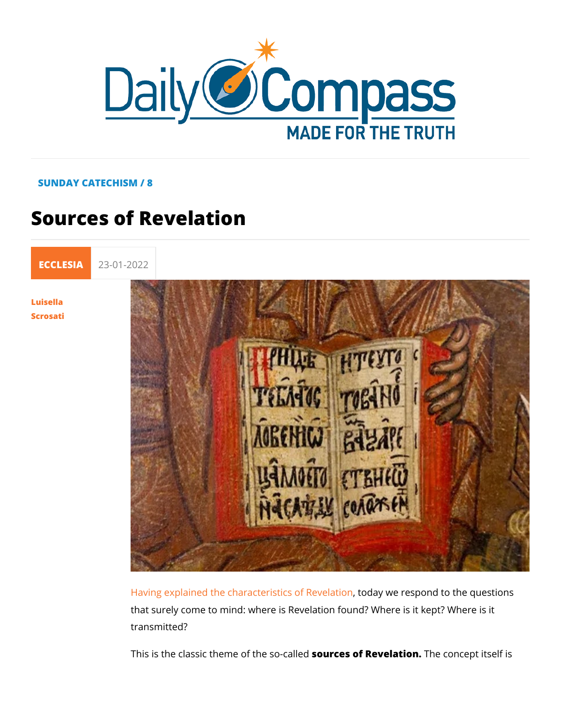## SUNDAY CATECHISM / 8

## Sources of Revelation

[ECCLE](https://newdailycompass.com/en/ecclesia)S 23-01-2022

[Luisel](/en/luisella-scrosati)la [Scros](/en/luisella-scrosati)ati

> [Having explained the characteris](https://newdailycompass.com/en/supernatural-revelation)ticosday Wevedspion dto the que that surely come to mind: where is Revelation found? Where is transmitted?

> This is the classic theme osfour reesso of a Rievelation concept itself i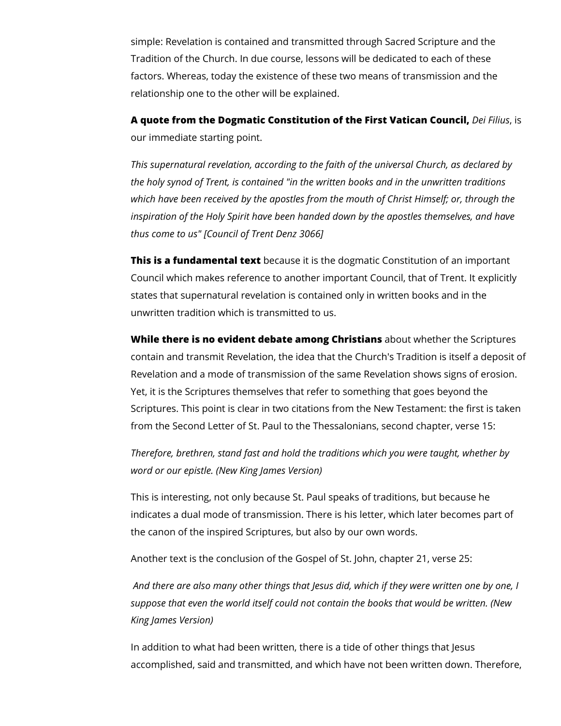simple: Revelation is contained and transmitted through Sacred Scripture and the Tradition of the Church. In due course, lessons will be dedicated to each of these factors. Whereas, today the existence of these two means of transmission and the relationship one to the other will be explained.

**A quote from the Dogmatic Constitution of the First Vatican Council,** *Dei Filius*, is our immediate starting point.

*This supernatural revelation, according to the faith of the universal Church, as declared by the holy synod of Trent, is contained "in the written books and in the unwritten traditions which have been received by the apostles from the mouth of Christ Himself; or, through the inspiration of the Holy Spirit have been handed down by the apostles themselves, and have thus come to us" [Council of Trent Denz 3066]*

**This is a fundamental text** because it is the dogmatic Constitution of an important Council which makes reference to another important Council, that of Trent. It explicitly states that supernatural revelation is contained only in written books and in the unwritten tradition which is transmitted to us.

**While there is no evident debate among Christians** about whether the Scriptures contain and transmit Revelation, the idea that the Church's Tradition is itself a deposit of Revelation and a mode of transmission of the same Revelation shows signs of erosion. Yet, it is the Scriptures themselves that refer to something that goes beyond the Scriptures. This point is clear in two citations from the New Testament: the first is taken from the Second Letter of St. Paul to the Thessalonians, second chapter, verse 15:

*Therefore, brethren, stand fast and hold the traditions which you were taught, whether by word or our epistle. (New King James Version)*

This is interesting, not only because St. Paul speaks of traditions, but because he indicates a dual mode of transmission. There is his letter, which later becomes part of the canon of the inspired Scriptures, but also by our own words.

Another text is the conclusion of the Gospel of St. John, chapter 21, verse 25:

*And there are also many other things that Jesus did, which if they were written one by one, I suppose that even the world itself could not contain the books that would be written. (New King James Version)*

In addition to what had been written, there is a tide of other things that Jesus accomplished, said and transmitted, and which have not been written down. Therefore,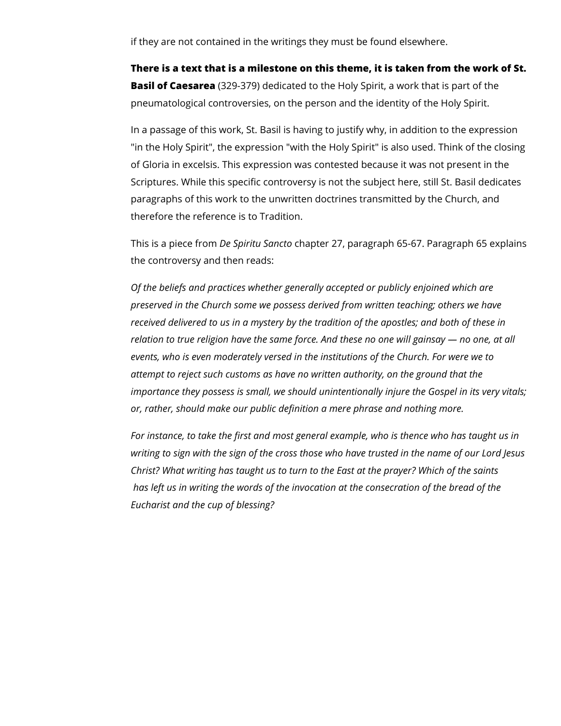if they are not contained in the writings they must be found elsewhere.

**There is a text that is a milestone on this theme, it is taken from the work of St. Basil of Caesarea** (329-379) dedicated to the Holy Spirit, a work that is part of the pneumatological controversies, on the person and the identity of the Holy Spirit.

In a passage of this work, St. Basil is having to justify why, in addition to the expression "in the Holy Spirit", the expression "with the Holy Spirit" is also used. Think of the closing of Gloria in excelsis. This expression was contested because it was not present in the Scriptures. While this specific controversy is not the subject here, still St. Basil dedicates paragraphs of this work to the unwritten doctrines transmitted by the Church, and therefore the reference is to Tradition.

This is a piece from *De Spiritu Sancto* chapter 27, paragraph 65-67. Paragraph 65 explains the controversy and then reads:

*Of the beliefs and practices whether generally accepted or publicly enjoined which are preserved in the Church some we possess derived from written teaching; others we have received delivered to us in a mystery by the tradition of the apostles; and both of these in relation to true religion have the same force. And these no one will gainsay — no one, at all events, who is even moderately versed in the institutions of the Church. For were we to attempt to reject such customs as have no written authority, on the ground that the importance they possess is small, we should unintentionally injure the Gospel in its very vitals; or, rather, should make our public definition a mere phrase and nothing more.* 

*For instance, to take the first and most general example, who is thence who has taught us in writing to sign with the sign of the cross those who have trusted in the name of our Lord Jesus Christ? What writing has taught us to turn to the East at the prayer? Which of the saints has left us in writing the words of the invocation at the consecration of the bread of the Eucharist and the cup of blessing?*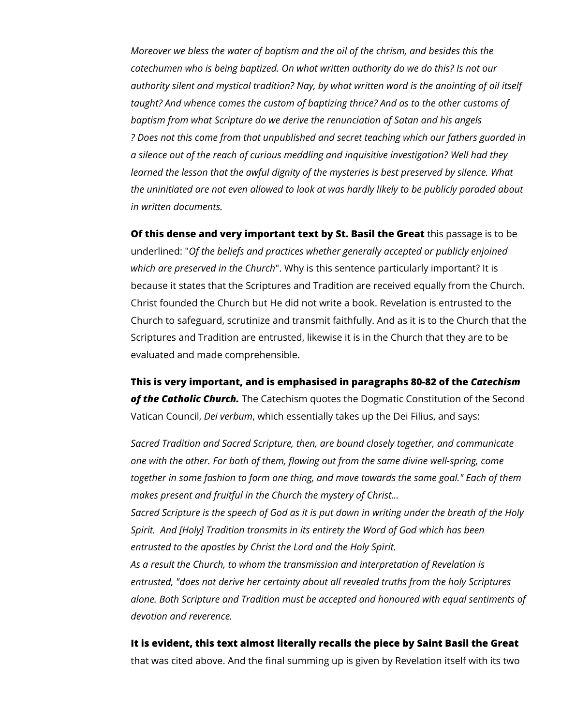*Moreover we bless the water of baptism and the oil of the chrism, and besides this the catechumen who is being baptized. On what written authority do we do this? Is not our authority silent and mystical tradition? Nay, by what written word is the anointing of oil itself taught? And whence comes the custom of baptizing thrice? And as to the other customs of baptism from what Scripture do we derive the renunciation of Satan and his angels ? Does not this come from that unpublished and secret teaching which our fathers guarded in a silence out of the reach of curious meddling and inquisitive investigation? Well had they*  learned the lesson that the awful dignity of the mysteries is best preserved by silence. What *the uninitiated are not even allowed to look at was hardly likely to be publicly paraded about in written documents.* 

**Of this dense and very important text by St. Basil the Great** this passage is to be underlined: "*Of the beliefs and practices whether generally accepted or publicly enjoined which are preserved in the Church*". Why is this sentence particularly important? It is because it states that the Scriptures and Tradition are received equally from the Church. Christ founded the Church but He did not write a book. Revelation is entrusted to the Church to safeguard, scrutinize and transmit faithfully. And as it is to the Church that the Scriptures and Tradition are entrusted, likewise it is in the Church that they are to be evaluated and made comprehensible.

**This is very important, and is emphasised in paragraphs 80-82 of the** *Catechism of the Catholic Church.* The Catechism quotes the Dogmatic Constitution of the Second Vatican Council, *Dei verbum*, which essentially takes up the Dei Filius, and says:

*Sacred Tradition and Sacred Scripture, then, are bound closely together, and communicate one with the other. For both of them, flowing out from the same divine well-spring, come together in some fashion to form one thing, and move towards the same goal." Each of them makes present and fruitful in the Church the mystery of Christ…*

*Sacred Scripture is the speech of God as it is put down in writing under the breath of the Holy Spirit. And [Holy] Tradition transmits in its entirety the Word of God which has been entrusted to the apostles by Christ the Lord and the Holy Spirit.* 

*As a result the Church, to whom the transmission and interpretation of Revelation is entrusted, "does not derive her certainty about all revealed truths from the holy Scriptures alone. Both Scripture and Tradition must be accepted and honoured with equal sentiments of devotion and reverence.*

## **It is evident, this text almost literally recalls the piece by Saint Basil the Great**

that was cited above. And the final summing up is given by Revelation itself with its two